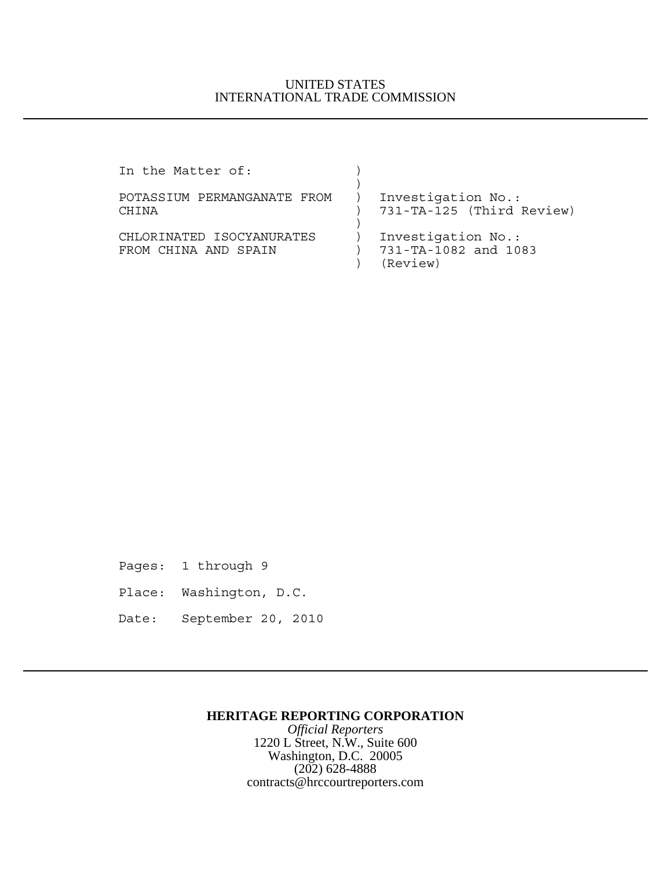## UNITED STATES INTERNATIONAL TRADE COMMISSION

| In the Matter of:                                 |                                                        |
|---------------------------------------------------|--------------------------------------------------------|
| POTASSIUM PERMANGANATE FROM<br><b>CHTNA</b>       | Investigation No.:<br>731-TA-125 (Third Review)        |
| CHLORINATED ISOCYANURATES<br>FROM CHINA AND SPAIN | Investigation No.:<br>731-TA-1082 and 1083<br>(Review) |

Pages: 1 through 9

- Place: Washington, D.C.
- Date: September 20, 2010

## **HERITAGE REPORTING CORPORATION**

*Official Reporters* 1220 L Street, N.W., Suite 600 Washington, D.C. 20005  $(202)$  628-4888 contracts@hrccourtreporters.com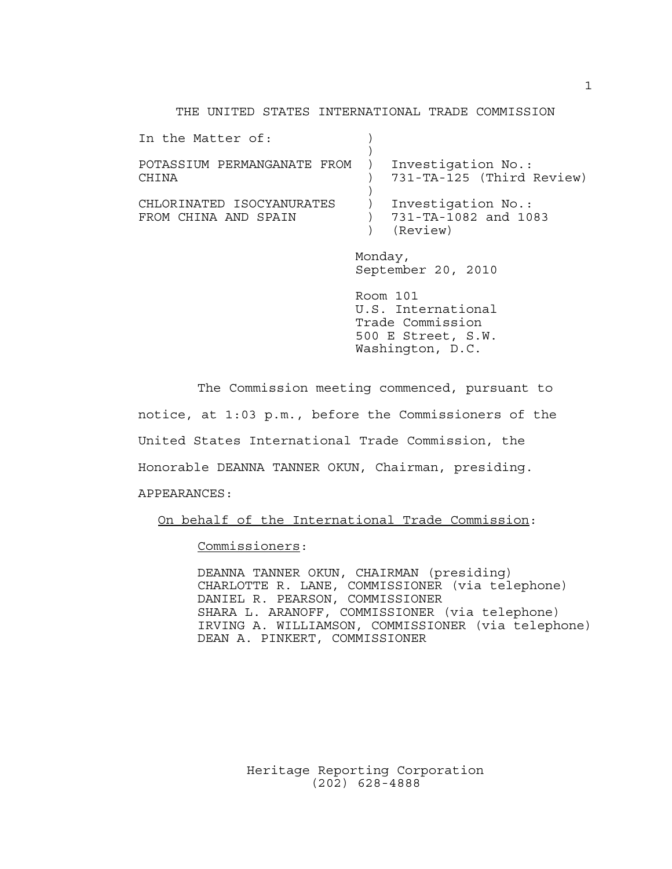## THE UNITED STATES INTERNATIONAL TRADE COMMISSION

| In the Matter of:                    |                                                 |
|--------------------------------------|-------------------------------------------------|
| POTASSIUM PERMANGANATE FROM<br>CHINA | Investigation No.:<br>731-TA-125 (Third Review) |
|                                      |                                                 |
| CHLORINATED ISOCYANURATES            | Investigation No.:                              |
| FROM CHINA AND SPAIN                 | 731-TA-1082 and 1083                            |
|                                      | (Review)                                        |
|                                      | Monday,                                         |
|                                      | $0.11.1$ $0.01.1$                               |

September 20, 2010 Room 101

U.S. International Trade Commission 500 E Street, S.W. Washington, D.C.

The Commission meeting commenced, pursuant to notice, at 1:03 p.m., before the Commissioners of the United States International Trade Commission, the Honorable DEANNA TANNER OKUN, Chairman, presiding. APPEARANCES:

On behalf of the International Trade Commission:

Commissioners:

DEANNA TANNER OKUN, CHAIRMAN (presiding) CHARLOTTE R. LANE, COMMISSIONER (via telephone) DANIEL R. PEARSON, COMMISSIONER SHARA L. ARANOFF, COMMISSIONER (via telephone) IRVING A. WILLIAMSON, COMMISSIONER (via telephone) DEAN A. PINKERT, COMMISSIONER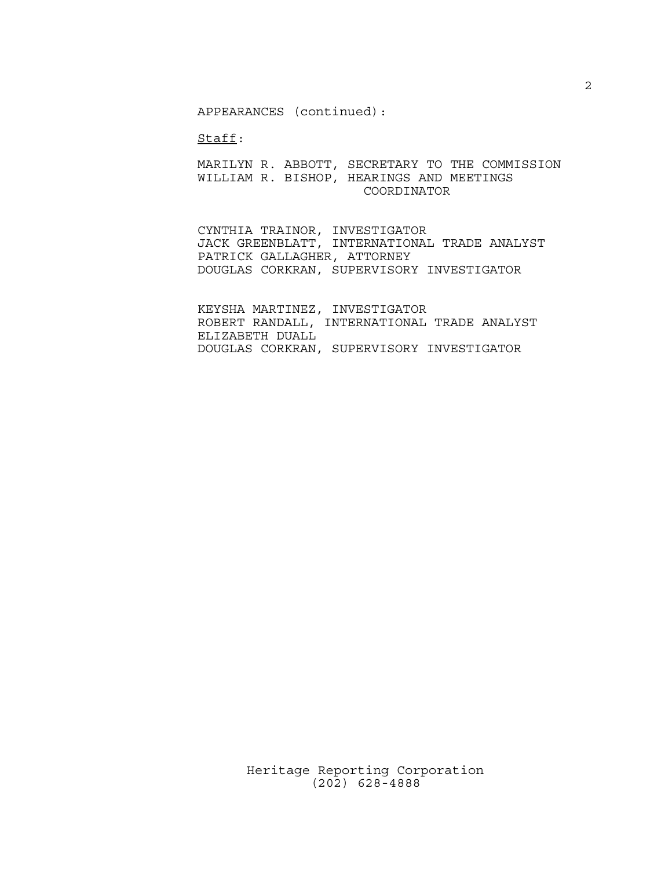APPEARANCES (continued):

Staff:

MARILYN R. ABBOTT, SECRETARY TO THE COMMISSION WILLIAM R. BISHOP, HEARINGS AND MEETINGS COORDINATOR

CYNTHIA TRAINOR, INVESTIGATOR JACK GREENBLATT, INTERNATIONAL TRADE ANALYST PATRICK GALLAGHER, ATTORNEY DOUGLAS CORKRAN, SUPERVISORY INVESTIGATOR

KEYSHA MARTINEZ, INVESTIGATOR ROBERT RANDALL, INTERNATIONAL TRADE ANALYST ELIZABETH DUALL DOUGLAS CORKRAN, SUPERVISORY INVESTIGATOR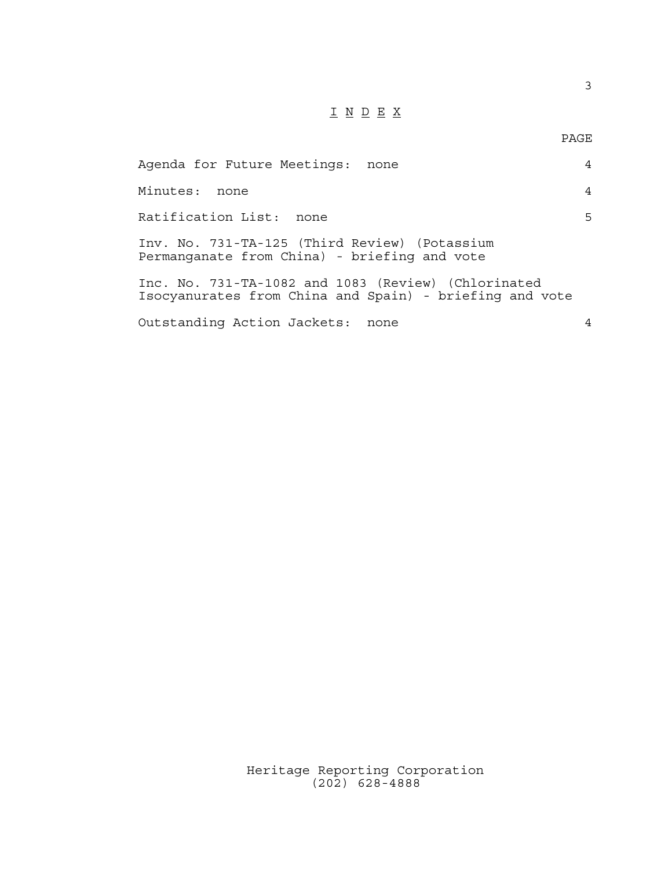## $\underline{\texttt{I}} \underline{\texttt{N}} \underline{\texttt{D}} \underline{\texttt{E}} \underline{\texttt{X}}$

3

| Agenda for Future Meetings: none                                                                               | $\overline{4}$ |
|----------------------------------------------------------------------------------------------------------------|----------------|
| Minutes: none                                                                                                  | $\overline{4}$ |
| Ratification List: none                                                                                        | 5              |
| Inv. No. 731-TA-125 (Third Review) (Potassium<br>Permanganate from China) - briefing and vote                  |                |
| Inc. No. 731-TA-1082 and 1083 (Review) (Chlorinated<br>Isocyanurates from China and Spain) - briefing and vote |                |
| Outstanding Action Jackets:<br>none                                                                            | 4              |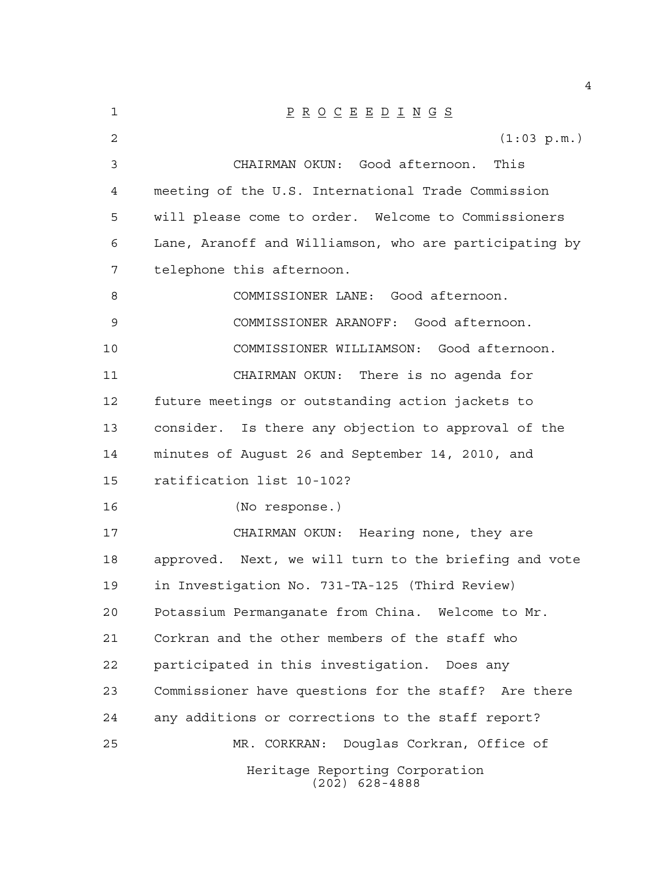| 1  | $\underline{P} \underline{R} \underline{O} \underline{C} \underline{E} \underline{E} \underline{D} \underline{I} \underline{N} \underline{G} \underline{S}$ |
|----|-------------------------------------------------------------------------------------------------------------------------------------------------------------|
| 2  | (1:03 p.m.)                                                                                                                                                 |
| 3  | CHAIRMAN OKUN: Good afternoon. This                                                                                                                         |
| 4  | meeting of the U.S. International Trade Commission                                                                                                          |
| 5  | will please come to order. Welcome to Commissioners                                                                                                         |
| 6  | Lane, Aranoff and Williamson, who are participating by                                                                                                      |
| 7  | telephone this afternoon.                                                                                                                                   |
| 8  | COMMISSIONER LANE: Good afternoon.                                                                                                                          |
| 9  | COMMISSIONER ARANOFF: Good afternoon.                                                                                                                       |
| 10 | COMMISSIONER WILLIAMSON: Good afternoon.                                                                                                                    |
| 11 | CHAIRMAN OKUN: There is no agenda for                                                                                                                       |
| 12 | future meetings or outstanding action jackets to                                                                                                            |
| 13 | consider. Is there any objection to approval of the                                                                                                         |
| 14 | minutes of August 26 and September 14, 2010, and                                                                                                            |
| 15 | ratification list 10-102?                                                                                                                                   |
| 16 | (No response.)                                                                                                                                              |
| 17 | CHAIRMAN OKUN: Hearing none, they are                                                                                                                       |
| 18 | approved. Next, we will turn to the briefing and vote                                                                                                       |
| 19 | in Investigation No. 731-TA-125 (Third Review)                                                                                                              |
| 20 | Potassium Permanganate from China. Welcome to Mr.                                                                                                           |
| 21 | Corkran and the other members of the staff who                                                                                                              |
| 22 | participated in this investigation. Does any                                                                                                                |
| 23 | Commissioner have questions for the staff? Are there                                                                                                        |
| 24 | any additions or corrections to the staff report?                                                                                                           |
| 25 | Douglas Corkran, Office of<br>MR. CORKRAN:                                                                                                                  |
|    | Heritage Reporting Corporation<br>$(202)$ 628-4888                                                                                                          |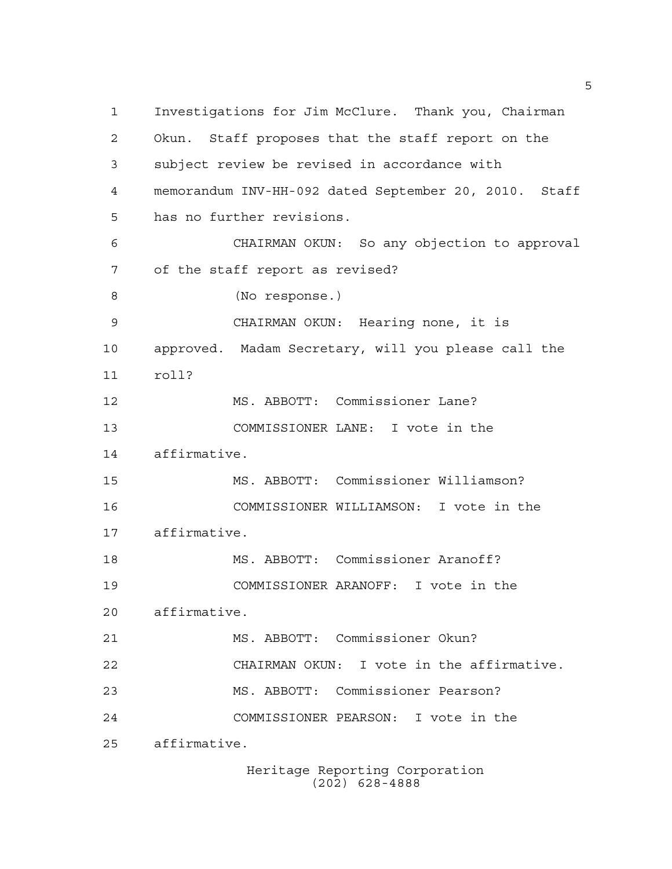Investigations for Jim McClure. Thank you, Chairman Okun. Staff proposes that the staff report on the subject review be revised in accordance with memorandum INV-HH-092 dated September 20, 2010. Staff has no further revisions. CHAIRMAN OKUN: So any objection to approval of the staff report as revised? (No response.) CHAIRMAN OKUN: Hearing none, it is approved. Madam Secretary, will you please call the roll? MS. ABBOTT: Commissioner Lane? COMMISSIONER LANE: I vote in the affirmative. MS. ABBOTT: Commissioner Williamson? COMMISSIONER WILLIAMSON: I vote in the affirmative. MS. ABBOTT: Commissioner Aranoff? COMMISSIONER ARANOFF: I vote in the affirmative. MS. ABBOTT: Commissioner Okun? CHAIRMAN OKUN: I vote in the affirmative. MS. ABBOTT: Commissioner Pearson? COMMISSIONER PEARSON: I vote in the affirmative.

Heritage Reporting Corporation (202) 628-4888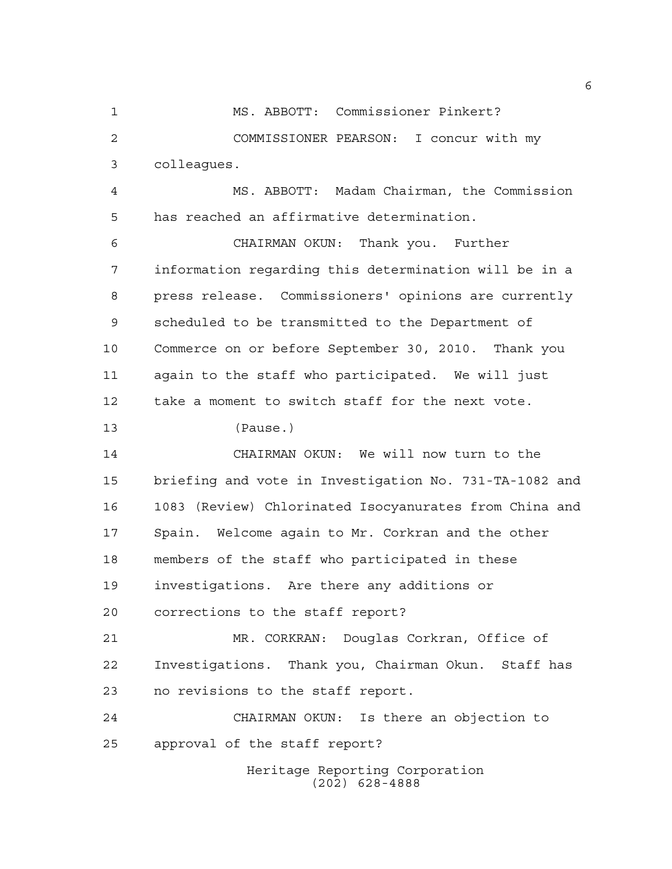MS. ABBOTT: Commissioner Pinkert? COMMISSIONER PEARSON: I concur with my colleagues.

 MS. ABBOTT: Madam Chairman, the Commission has reached an affirmative determination.

 CHAIRMAN OKUN: Thank you. Further information regarding this determination will be in a press release. Commissioners' opinions are currently scheduled to be transmitted to the Department of Commerce on or before September 30, 2010. Thank you again to the staff who participated. We will just take a moment to switch staff for the next vote.

(Pause.)

 CHAIRMAN OKUN: We will now turn to the briefing and vote in Investigation No. 731-TA-1082 and 1083 (Review) Chlorinated Isocyanurates from China and Spain. Welcome again to Mr. Corkran and the other members of the staff who participated in these investigations. Are there any additions or corrections to the staff report?

 MR. CORKRAN: Douglas Corkran, Office of Investigations. Thank you, Chairman Okun. Staff has no revisions to the staff report.

 CHAIRMAN OKUN: Is there an objection to approval of the staff report?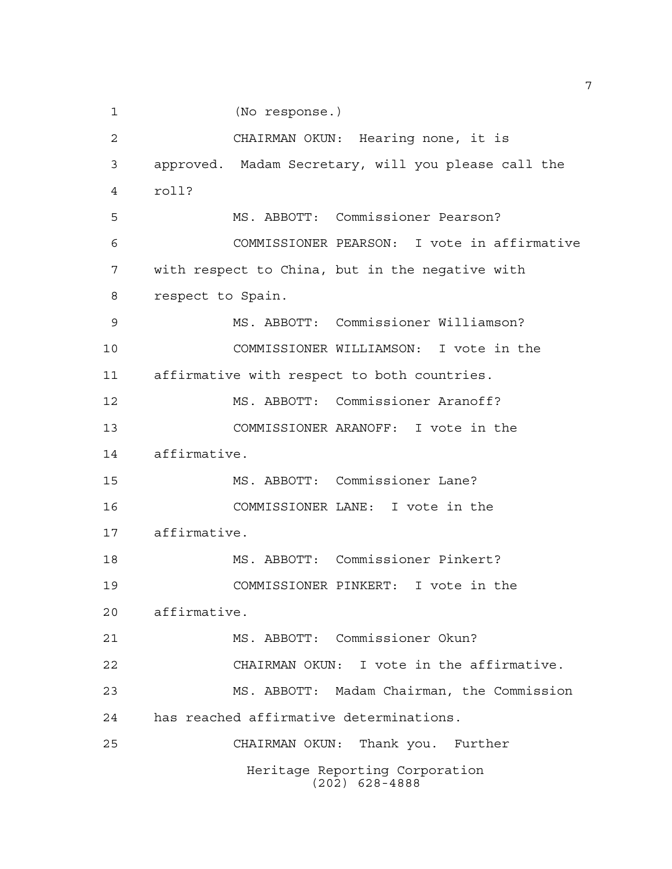(No response.)

 CHAIRMAN OKUN: Hearing none, it is approved. Madam Secretary, will you please call the roll? MS. ABBOTT: Commissioner Pearson? COMMISSIONER PEARSON: I vote in affirmative with respect to China, but in the negative with respect to Spain. MS. ABBOTT: Commissioner Williamson? COMMISSIONER WILLIAMSON: I vote in the affirmative with respect to both countries. MS. ABBOTT: Commissioner Aranoff? COMMISSIONER ARANOFF: I vote in the affirmative. MS. ABBOTT: Commissioner Lane? COMMISSIONER LANE: I vote in the affirmative. MS. ABBOTT: Commissioner Pinkert? COMMISSIONER PINKERT: I vote in the affirmative. MS. ABBOTT: Commissioner Okun? CHAIRMAN OKUN: I vote in the affirmative. MS. ABBOTT: Madam Chairman, the Commission has reached affirmative determinations. CHAIRMAN OKUN: Thank you. Further Heritage Reporting Corporation (202) 628-4888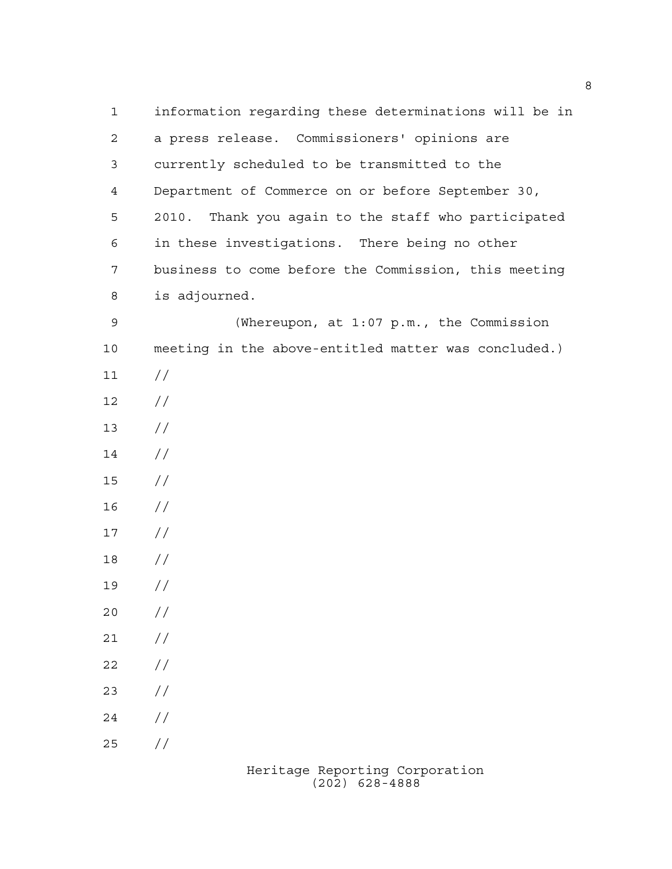1 information regarding these determinations will be in 2 a press release. Commissioners' opinions are 3 currently scheduled to be transmitted to the 4 Department of Commerce on or before September 30, 5 2010. Thank you again to the staff who participated 6 in these investigations. There being no other 7 business to come before the Commission, this meeting 8 is adjourned. 9 (Whereupon, at 1:07 p.m., the Commission 10 meeting in the above-entitled matter was concluded.)  $11 /$  $12 /$  $13 / /$ 14 // 15 // 16 //  $17 /$ 18 // 19 //  $20 /$  $21 /$  $22 / /$  $23 / /$  $24 /$  $25 / /$